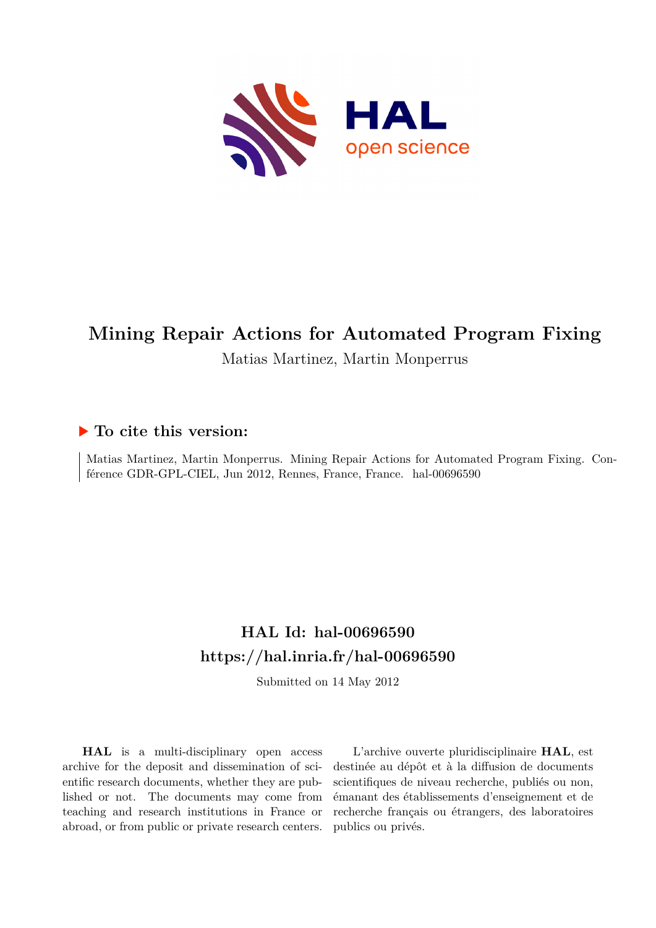

# **Mining Repair Actions for Automated Program Fixing**

### Matias Martinez, Martin Monperrus

#### **To cite this version:**

Matias Martinez, Martin Monperrus. Mining Repair Actions for Automated Program Fixing. Conférence GDR-GPL-CIEL, Jun 2012, Rennes, France, France. hal-00696590

## **HAL Id: hal-00696590 <https://hal.inria.fr/hal-00696590>**

Submitted on 14 May 2012

**HAL** is a multi-disciplinary open access archive for the deposit and dissemination of scientific research documents, whether they are published or not. The documents may come from teaching and research institutions in France or abroad, or from public or private research centers.

L'archive ouverte pluridisciplinaire **HAL**, est destinée au dépôt et à la diffusion de documents scientifiques de niveau recherche, publiés ou non, émanant des établissements d'enseignement et de recherche français ou étrangers, des laboratoires publics ou privés.